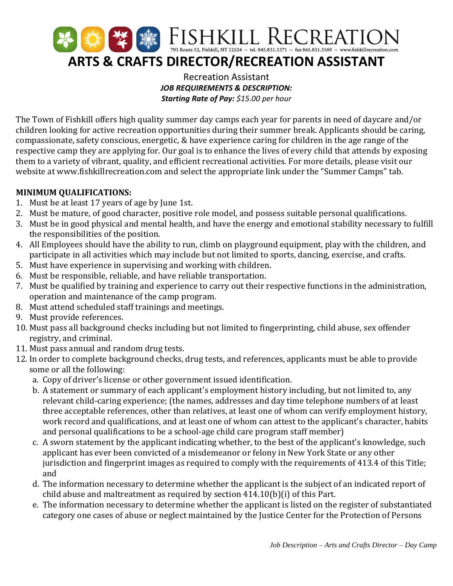

Recreation Assistant *JOB REQUIREMENTS & DESCRIPTION: Starting Rate of Pay: \$15.00 per hour*

The Town of Fishkill offers high quality summer day camps each year for parents in need of daycare and/or children looking for active recreation opportunities during their summer break. Applicants should be caring, compassionate, safety conscious, energetic, & have experience caring for children in the age range of the respective camp they are applying for. Our goal is to enhance the lives of every child that attends by exposing them to a variety of vibrant, quality, and efficient recreational activities. For more details, please visit our website at www.fishkillrecreation.com and select the appropriate link under the "Summer Camps" tab.

## **MINIMUM QUALIFICATIONS:**

- 1. Must be at least 17 years of age by June 1st.
- 2. Must be mature, of good character, positive role model, and possess suitable personal qualifications.
- 3. Must be in good physical and mental health, and have the energy and emotional stability necessary to fulfill the responsibilities of the position.
- 4. All Employees should have the ability to run, climb on playground equipment, play with the children, and participate in all activities which may include but not limited to sports, dancing, exercise, and crafts.
- 5. Must have experience in supervising and working with children.
- 6. Must be responsible, reliable, and have reliable transportation.
- 7. Must be qualified by training and experience to carry out their respective functions in the administration, operation and maintenance of the camp program.
- 8. Must attend scheduled staff trainings and meetings.
- 9. Must provide references.
- 10. Must pass all background checks including but not limited to fingerprinting, child abuse, sex offender registry, and criminal.
- 11. Must pass annual and random drug tests.
- 12. In order to complete background checks, drug tests, and references, applicants must be able to provide some or all the following:
	- a. Copy of driver's license or other government issued identification.
	- b. A statement or summary of each applicant's employment history including, but not limited to, any relevant child-caring experience; (the names, addresses and day time telephone numbers of at least three acceptable references, other than relatives, at least one of whom can verify employment history, work record and qualifications, and at least one of whom can attest to the applicant's character, habits and personal qualifications to be a school-age child care program staff member)
	- c. A sworn statement by the applicant indicating whether, to the best of the applicant's knowledge, such applicant has ever been convicted of a misdemeanor or felony in New York State or any other jurisdiction and fingerprint images as required to comply with the requirements of 413.4 of this Title; and
	- d. The information necessary to determine whether the applicant is the subject of an indicated report of child abuse and maltreatment as required by section 414.10(b)(i) of this Part.
	- e. The information necessary to determine whether the applicant is listed on the register of substantiated category one cases of abuse or neglect maintained by the Justice Center for the Protection of Persons